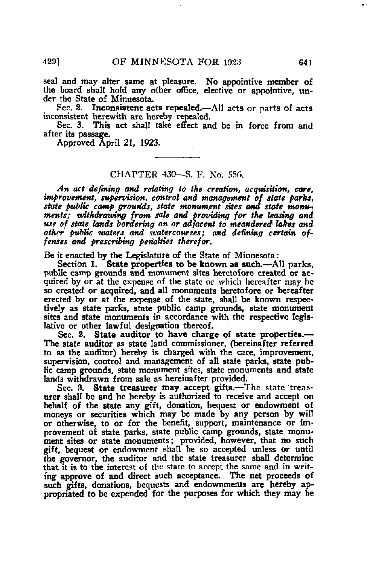seal and may alter same at pleasure. No appointive member of the board shall hold any other office, elective or appointive, under the State of Minnesota.

Sec. 2. Inconsistent acts repealed.—All acts or parts of acts inconsistent herewith are hereby repealed.

Sec. 3. This act shall take effect and be in force from and after its passage.

Approved April 21, 1923-

## CHAPTER 430—S. F. No. 55fi.

An act defining and relating to the creation, acquisition, care, improvement, supervision, control and management of state parks, state public camp grounds, state monument sites and state monuments; withdrawing from sale and providing for the leasing and use of state lands bordering on or adjacent to meandered lakes and other public waters and watercourses; and defining certain offenses and prescribing penalties therefor.

Be it enacted by the Legislature of the State of Minnesota:

Section 1. State properties to be known as such.—All parks, public camp grounds and monument sites heretofore created or acquired by or at the expense of the state or which hereafter may be so created or acquired, and all monuments heretofore or hereafter erected by or at the expense of the state, shall be known respectively as state parks, state public camp grounds, state monument sites and state monuments in accordance with the respective legislative or other lawful designation thereof.

Sec. 2. State auditor to have charge of state properties.— The state auditor as state land commissioner, (hereinafter referred to as the auditor) hereby is charged with the care, improvement, supervision, control and management of all state parks, state public camp grounds, state monument sites, state monuments and state lands withdrawn from sale as hereinafter provided.

Sec. 8. State treasurer may accept gifts.—The state 'treasurer shall be and he hereby is authorized to receive and accept on behalf of the state any gift, donation, bequest or endowment of moneys or securities which may be made by any person by will or otherwise, to or for the benefit, support, maintenance or improvement of state parks, state public camp grounds, state monument sites or state monuments; provided, however, that no such gift, bequest or endowment shall be so accepted unless or until the governor, the auditor and the state treasurer shall determine that it is to the interest of the state to accept the same and in writing approve of and direct such acceptance. The net proceeds of such gifts, donations, bequests and endownments are hereby appropriated to be expended for the purposes for which they may be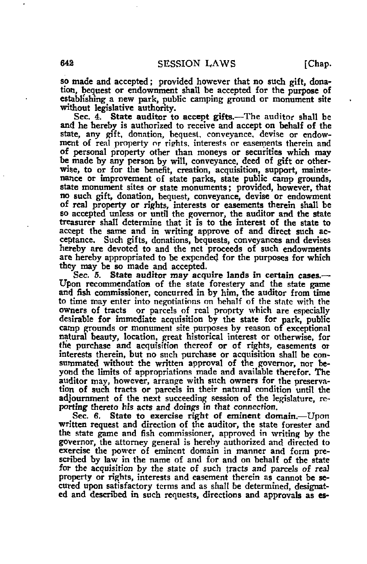so made and accepted; provided however that no such gift, donation, bequest or endownment shall be accepted for the purpose of establishing a new park, public camping ground or monument site without legislative authority.

Sec. 4. State auditor to accept gifts.—The auditor shall be and he hereby is authorized to receive and accept on behalf of the state, any gift, donation, bequest, conveyance, devise or endowment of real property or rights, interests or easements therein and of personal property other than moneys or securities which may be made by any person by will, conveyance, deed of gift or otherwise, to or for the benefit, creation, acquisition, support, maintenance or improvement of state parks, state public camp grounds, state monument sites or state monuments; provided, however, that no such gift, donation, bequest, conveyance, devise or endowment of real property or rights, interests or easements therein shall be so accepted unless or until the governor, the auditor and the state treasurer shall determine that it is to the interest of the state to accept the same and in writing approve of and direct such acceptance. Such gifts, donations, bequests, conveyances and devises hereby are devoted to and the net proceeds of such endowments are hereby appropriated to be expended for the purposes for which they may be so made and accepted.

Sec. 5. State auditor may acquire lands in certain cases.— Upon recommendation of the state forestery and the state game and fish commissioner, concurred in by him, the auditor from time to time may enter into negotiations on behalf of the state with the owners of tracts or parcels of real proprty which are especially desirable for immediate acquisition by the state for park, public camp grounds or monument site purposes by reason of exceptional natural beauty, location, great historical interest or otherwise, for the purchase and acquisition thereof or of rights, easements or interests therein, but no snch purchase or acquisition shall be consummated without the written approval of the governor, nor beyond the limits of appropriations made and available therefor. The auditor may, however, arrange with such owners for the preservation of such tracts or parcels in their natural condition until the adjournment of the next succeeding session of the legislature, reporting thereto his acts and doings in that connection.

Sec. 6. State to exercise right of eminent domain.—Upon written request and direction of the auditor, the state forester and the state game and fish commissioner, approved in writing by the governor, the attorney general is hereby authorized and directed to exercise the power of eminent domain in manner and form prescribed by law in the name of and for and on behalf of the state for the acquisition by the state of such tracts and parcels of real property or rights, interests and easement therein as cannot be secured upon satisfactory terms and as shall be determined, designated and described in such requests, directions and approvals as es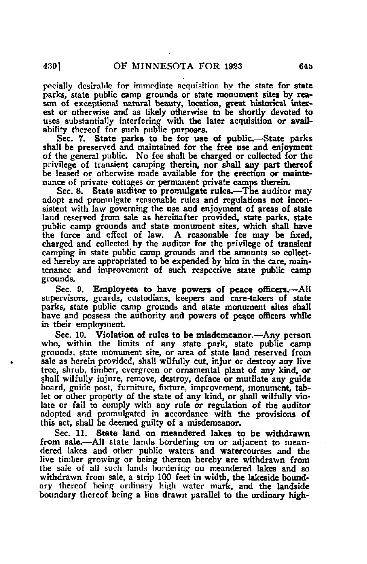pecially desirable for immediate acquisition by the state for state parks, state public camp grounds or state monument sites by reason of exceptional natural beauty, location, great historical interest or otherwise and as likely otherwise to be shortly devoted to uses substantially interfering with the later acquisition or availability thereof for such public purposes.

Sec. 7. State parks to be for use of public.—State parks shall be preserved and maintained for the free use and enjoyment of the general public. No fee shall be charged or collected for the privilege of transient camping therein, nor shall any part thereof be leased or otherwise made available for the erection or maintenance of private cottages or permanent private camps therein.

Sec. 8. State auditor to promulgate rules.—The auditor may adopt and promulgate reasonable rules and regulations not inconsistent with law governing the use and enjoyment of areas of state land reserved from sale as hereinafter provided, state parks, state public camp grounds and state monument sites, which shall have the force and effect of law. A reasonable fee may be fixed, charged and collected by the auditor for the privilege of transient camping in state public camp grounds and the amounts so collected hereby are appropriated to be expended by him in the care, maintenance and improvement of such respective state public camp grounds.

Sec. 9. Employees to have powers of peace officers.-- All supervisors, guards, custodians, keepers and care-takers of state parks, state public camp grounds and state monument sites shall have and possess the authority and powers of peace officers while in their employment.

Sec. 10. Violation of rules to be misdemeanor.—Any person who, within the limits of any state park, state public camp grounds, state monument site, or area of state land reserved from sale as herein provided, shall wilfully cut, injur or destroy any live tree, shrub, timber, evergreen or ornamental plant of any kind, or shall wilfully injure, remove, destroy, deface or mutilate any guide board, guide post, furniture, fixture, improvement, monument, tablet or other property of the state of any kind, or shall wilfully violate or fail to comply with any rule or regulation of the auditor adopted and promulgated in accordance with the provisions of this act, shall be deemed guilty of a misdemeanor.

Sec. 11. State land on meandered lakes to be withdrawn from sale.—All state lands bordering on or adjacent to meandered lakes and other public waters and watercourses and the live timber growing or being thereon hereby are withdrawn from the sale of all such lands bordering on meandered lakes and so withdrawn from sale, a strip 100 feet in width, the lakeside boundary thereof being ordinary high water mark, and the landside boundary thereof being a line drawn parallel to the ordinary high-